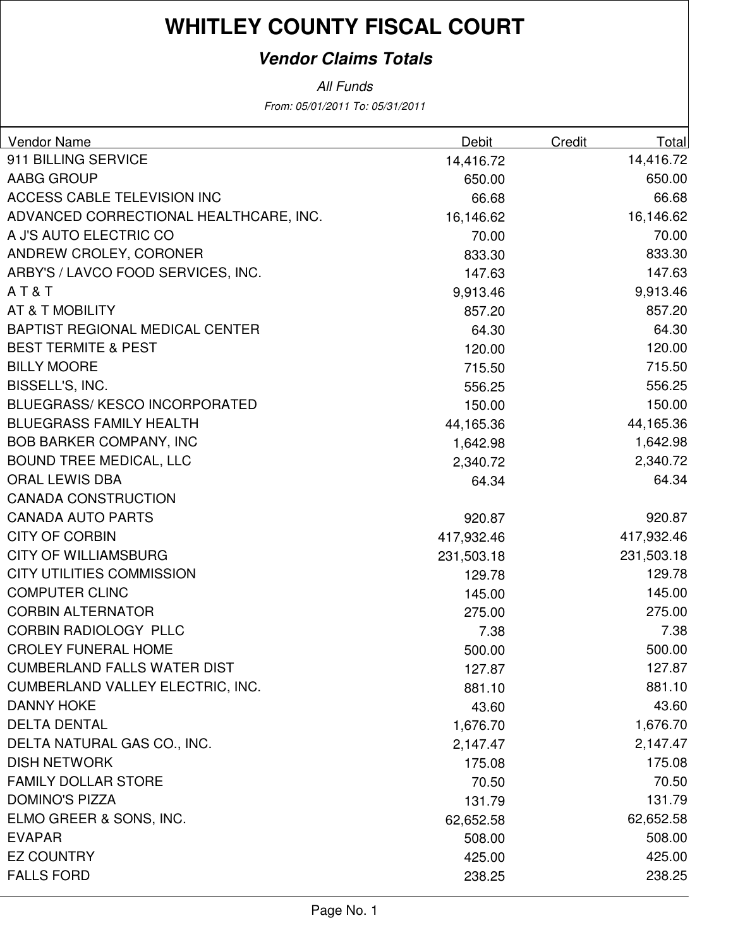### **Vendor Claims Totals**

From: 05/01/2011 To: 05/31/2011 All Funds

| Vendor Name                            | Debit      | <b>Credit</b> | Total      |
|----------------------------------------|------------|---------------|------------|
| 911 BILLING SERVICE                    | 14,416.72  |               | 14,416.72  |
| AABG GROUP                             | 650.00     |               | 650.00     |
| <b>ACCESS CABLE TELEVISION INC</b>     | 66.68      |               | 66.68      |
| ADVANCED CORRECTIONAL HEALTHCARE, INC. | 16,146.62  |               | 16,146.62  |
| A J'S AUTO ELECTRIC CO                 | 70.00      |               | 70.00      |
| ANDREW CROLEY, CORONER                 | 833.30     |               | 833.30     |
| ARBY'S / LAVCO FOOD SERVICES, INC.     | 147.63     |               | 147.63     |
| AT&T                                   | 9,913.46   |               | 9,913.46   |
| AT & T MOBILITY                        | 857.20     |               | 857.20     |
| <b>BAPTIST REGIONAL MEDICAL CENTER</b> | 64.30      |               | 64.30      |
| <b>BEST TERMITE &amp; PEST</b>         | 120.00     |               | 120.00     |
| <b>BILLY MOORE</b>                     | 715.50     |               | 715.50     |
| BISSELL'S, INC.                        | 556.25     |               | 556.25     |
| <b>BLUEGRASS/KESCO INCORPORATED</b>    | 150.00     |               | 150.00     |
| <b>BLUEGRASS FAMILY HEALTH</b>         | 44,165.36  |               | 44,165.36  |
| <b>BOB BARKER COMPANY, INC</b>         | 1,642.98   |               | 1,642.98   |
| <b>BOUND TREE MEDICAL, LLC</b>         | 2,340.72   |               | 2,340.72   |
| <b>ORAL LEWIS DBA</b>                  | 64.34      |               | 64.34      |
| <b>CANADA CONSTRUCTION</b>             |            |               |            |
| <b>CANADA AUTO PARTS</b>               | 920.87     |               | 920.87     |
| <b>CITY OF CORBIN</b>                  | 417,932.46 |               | 417,932.46 |
| <b>CITY OF WILLIAMSBURG</b>            | 231,503.18 |               | 231,503.18 |
| <b>CITY UTILITIES COMMISSION</b>       | 129.78     |               | 129.78     |
| <b>COMPUTER CLINC</b>                  | 145.00     |               | 145.00     |
| <b>CORBIN ALTERNATOR</b>               | 275.00     |               | 275.00     |
| <b>CORBIN RADIOLOGY PLLC</b>           | 7.38       |               | 7.38       |
| <b>CROLEY FUNERAL HOME</b>             | 500.00     |               | 500.00     |
| <b>CUMBERLAND FALLS WATER DIST</b>     | 127.87     |               | 127.87     |
| CUMBERLAND VALLEY ELECTRIC, INC.       | 881.10     |               | 881.10     |
| <b>DANNY HOKE</b>                      | 43.60      |               | 43.60      |
| <b>DELTA DENTAL</b>                    | 1,676.70   |               | 1,676.70   |
| DELTA NATURAL GAS CO., INC.            | 2,147.47   |               | 2,147.47   |
| <b>DISH NETWORK</b>                    | 175.08     |               | 175.08     |
| <b>FAMILY DOLLAR STORE</b>             | 70.50      |               | 70.50      |
| <b>DOMINO'S PIZZA</b>                  | 131.79     |               | 131.79     |
| ELMO GREER & SONS, INC.                | 62,652.58  |               | 62,652.58  |
| <b>EVAPAR</b>                          | 508.00     |               | 508.00     |
| <b>EZ COUNTRY</b>                      | 425.00     |               | 425.00     |
| <b>FALLS FORD</b>                      | 238.25     |               | 238.25     |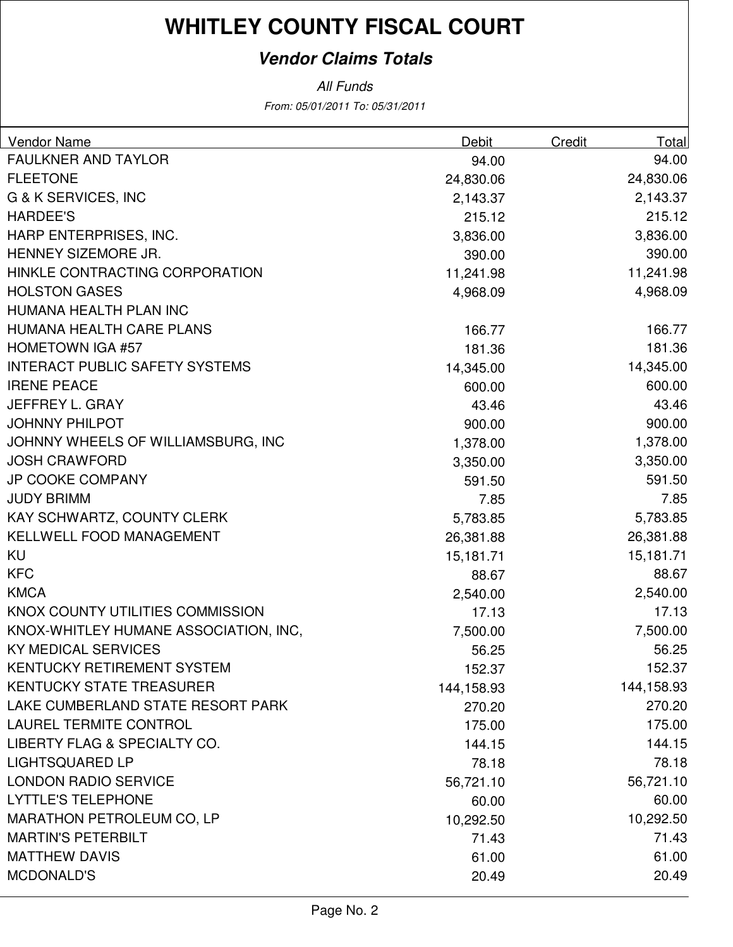### **Vendor Claims Totals**

From: 05/01/2011 To: 05/31/2011 All Funds

| Vendor Name                           | Debit      | Credit | Total      |
|---------------------------------------|------------|--------|------------|
| <b>FAULKNER AND TAYLOR</b>            | 94.00      |        | 94.00      |
| <b>FLEETONE</b>                       | 24,830.06  |        | 24,830.06  |
| <b>G &amp; K SERVICES, INC</b>        | 2,143.37   |        | 2,143.37   |
| <b>HARDEE'S</b>                       | 215.12     |        | 215.12     |
| HARP ENTERPRISES, INC.                | 3,836.00   |        | 3,836.00   |
| HENNEY SIZEMORE JR.                   | 390.00     |        | 390.00     |
| HINKLE CONTRACTING CORPORATION        | 11,241.98  |        | 11,241.98  |
| <b>HOLSTON GASES</b>                  | 4,968.09   |        | 4,968.09   |
| HUMANA HEALTH PLAN INC                |            |        |            |
| HUMANA HEALTH CARE PLANS              | 166.77     |        | 166.77     |
| <b>HOMETOWN IGA #57</b>               | 181.36     |        | 181.36     |
| <b>INTERACT PUBLIC SAFETY SYSTEMS</b> | 14,345.00  |        | 14,345.00  |
| <b>IRENE PEACE</b>                    | 600.00     |        | 600.00     |
| JEFFREY L. GRAY                       | 43.46      |        | 43.46      |
| <b>JOHNNY PHILPOT</b>                 | 900.00     |        | 900.00     |
| JOHNNY WHEELS OF WILLIAMSBURG, INC    | 1,378.00   |        | 1,378.00   |
| <b>JOSH CRAWFORD</b>                  | 3,350.00   |        | 3,350.00   |
| <b>JP COOKE COMPANY</b>               | 591.50     |        | 591.50     |
| <b>JUDY BRIMM</b>                     | 7.85       |        | 7.85       |
| KAY SCHWARTZ, COUNTY CLERK            | 5,783.85   |        | 5,783.85   |
| KELLWELL FOOD MANAGEMENT              | 26,381.88  |        | 26,381.88  |
| <b>KU</b>                             | 15,181.71  |        | 15,181.71  |
| <b>KFC</b>                            | 88.67      |        | 88.67      |
| <b>KMCA</b>                           | 2,540.00   |        | 2,540.00   |
| KNOX COUNTY UTILITIES COMMISSION      | 17.13      |        | 17.13      |
| KNOX-WHITLEY HUMANE ASSOCIATION, INC, | 7,500.00   |        | 7,500.00   |
| <b>KY MEDICAL SERVICES</b>            | 56.25      |        | 56.25      |
| KENTUCKY RETIREMENT SYSTEM            | 152.37     |        | 152.37     |
| <b>KENTUCKY STATE TREASURER</b>       | 144,158.93 |        | 144,158.93 |
| LAKE CUMBERLAND STATE RESORT PARK     | 270.20     |        | 270.20     |
| <b>LAUREL TERMITE CONTROL</b>         | 175.00     |        | 175.00     |
| LIBERTY FLAG & SPECIALTY CO.          | 144.15     |        | 144.15     |
| <b>LIGHTSQUARED LP</b>                | 78.18      |        | 78.18      |
| <b>LONDON RADIO SERVICE</b>           | 56,721.10  |        | 56,721.10  |
| <b>LYTTLE'S TELEPHONE</b>             | 60.00      |        | 60.00      |
| <b>MARATHON PETROLEUM CO, LP</b>      | 10,292.50  |        | 10,292.50  |
| <b>MARTIN'S PETERBILT</b>             | 71.43      |        | 71.43      |
| <b>MATTHEW DAVIS</b>                  | 61.00      |        | 61.00      |
| <b>MCDONALD'S</b>                     | 20.49      |        | 20.49      |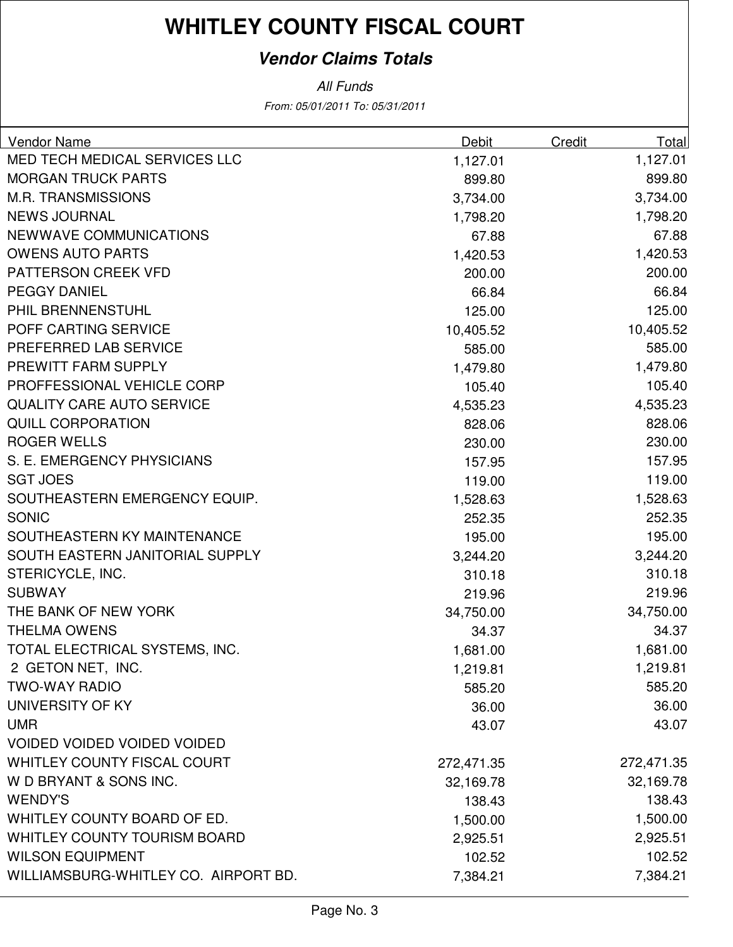### **Vendor Claims Totals**

From: 05/01/2011 To: 05/31/2011 All Funds

| <b>Vendor Name</b>                   | Debit      | Credit | Total      |
|--------------------------------------|------------|--------|------------|
| MED TECH MEDICAL SERVICES LLC        | 1,127.01   |        | 1,127.01   |
| <b>MORGAN TRUCK PARTS</b>            | 899.80     |        | 899.80     |
| <b>M.R. TRANSMISSIONS</b>            | 3,734.00   |        | 3,734.00   |
| <b>NEWS JOURNAL</b>                  | 1,798.20   |        | 1,798.20   |
| NEWWAVE COMMUNICATIONS               | 67.88      |        | 67.88      |
| <b>OWENS AUTO PARTS</b>              | 1,420.53   |        | 1,420.53   |
| PATTERSON CREEK VFD                  | 200.00     |        | 200.00     |
| <b>PEGGY DANIEL</b>                  | 66.84      |        | 66.84      |
| PHIL BRENNENSTUHL                    | 125.00     |        | 125.00     |
| POFF CARTING SERVICE                 | 10,405.52  |        | 10,405.52  |
| PREFERRED LAB SERVICE                | 585.00     |        | 585.00     |
| PREWITT FARM SUPPLY                  | 1,479.80   |        | 1,479.80   |
| PROFFESSIONAL VEHICLE CORP           | 105.40     |        | 105.40     |
| <b>QUALITY CARE AUTO SERVICE</b>     | 4,535.23   |        | 4,535.23   |
| <b>QUILL CORPORATION</b>             | 828.06     |        | 828.06     |
| <b>ROGER WELLS</b>                   | 230.00     |        | 230.00     |
| S. E. EMERGENCY PHYSICIANS           | 157.95     |        | 157.95     |
| <b>SGT JOES</b>                      | 119.00     |        | 119.00     |
| SOUTHEASTERN EMERGENCY EQUIP.        | 1,528.63   |        | 1,528.63   |
| <b>SONIC</b>                         | 252.35     |        | 252.35     |
| SOUTHEASTERN KY MAINTENANCE          | 195.00     |        | 195.00     |
| SOUTH EASTERN JANITORIAL SUPPLY      | 3,244.20   |        | 3,244.20   |
| STERICYCLE, INC.                     | 310.18     |        | 310.18     |
| <b>SUBWAY</b>                        | 219.96     |        | 219.96     |
| THE BANK OF NEW YORK                 | 34,750.00  |        | 34,750.00  |
| <b>THELMA OWENS</b>                  | 34.37      |        | 34.37      |
| TOTAL ELECTRICAL SYSTEMS, INC.       | 1,681.00   |        | 1,681.00   |
| 2 GETON NET, INC.                    | 1,219.81   |        | 1,219.81   |
| <b>TWO-WAY RADIO</b>                 | 585.20     |        | 585.20     |
| UNIVERSITY OF KY                     | 36.00      |        | 36.00      |
| <b>UMR</b>                           | 43.07      |        | 43.07      |
| <b>VOIDED VOIDED VOIDED VOIDED</b>   |            |        |            |
| WHITLEY COUNTY FISCAL COURT          | 272,471.35 |        | 272,471.35 |
| W D BRYANT & SONS INC.               | 32,169.78  |        | 32,169.78  |
| <b>WENDY'S</b>                       | 138.43     |        | 138.43     |
| WHITLEY COUNTY BOARD OF ED.          | 1,500.00   |        | 1,500.00   |
| <b>WHITLEY COUNTY TOURISM BOARD</b>  | 2,925.51   |        | 2,925.51   |
| <b>WILSON EQUIPMENT</b>              | 102.52     |        | 102.52     |
| WILLIAMSBURG-WHITLEY CO. AIRPORT BD. | 7,384.21   |        | 7,384.21   |